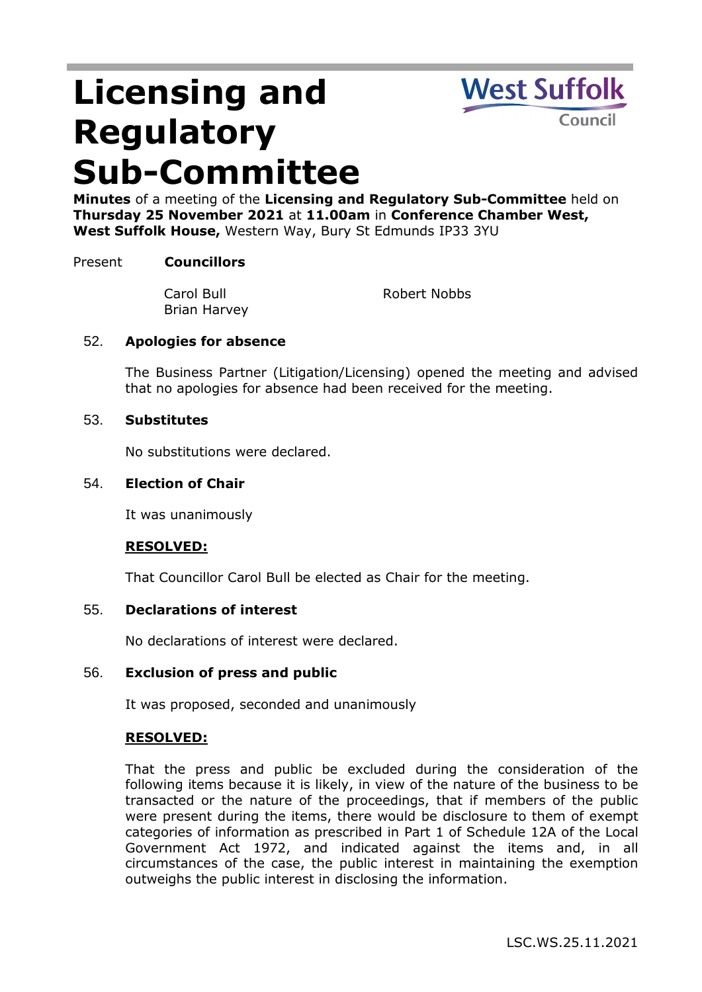# **Licensing and Regulatory Sub-Committee**



**Minutes** of a meeting of the **Licensing and Regulatory Sub-Committee** held on **Thursday 25 November 2021** at **11.00am** in **Conference Chamber West, West Suffolk House,** Western Way, Bury St Edmunds IP33 3YU

# Present **Councillors**

Carol Bull Brian Harvey

Robert Nobbs

# 52. **Apologies for absence**

The Business Partner (Litigation/Licensing) opened the meeting and advised that no apologies for absence had been received for the meeting.

#### 53. **Substitutes**

No substitutions were declared.

#### 54. **Election of Chair**

It was unanimously

# **RESOLVED:**

That Councillor Carol Bull be elected as Chair for the meeting.

#### 55. **Declarations of interest**

No declarations of interest were declared.

#### 56. **Exclusion of press and public**

It was proposed, seconded and unanimously

#### **RESOLVED:**

That the press and public be excluded during the consideration of the following items because it is likely, in view of the nature of the business to be transacted or the nature of the proceedings, that if members of the public were present during the items, there would be disclosure to them of exempt categories of information as prescribed in Part 1 of Schedule 12A of the Local Government Act 1972, and indicated against the items and, in all circumstances of the case, the public interest in maintaining the exemption outweighs the public interest in disclosing the information.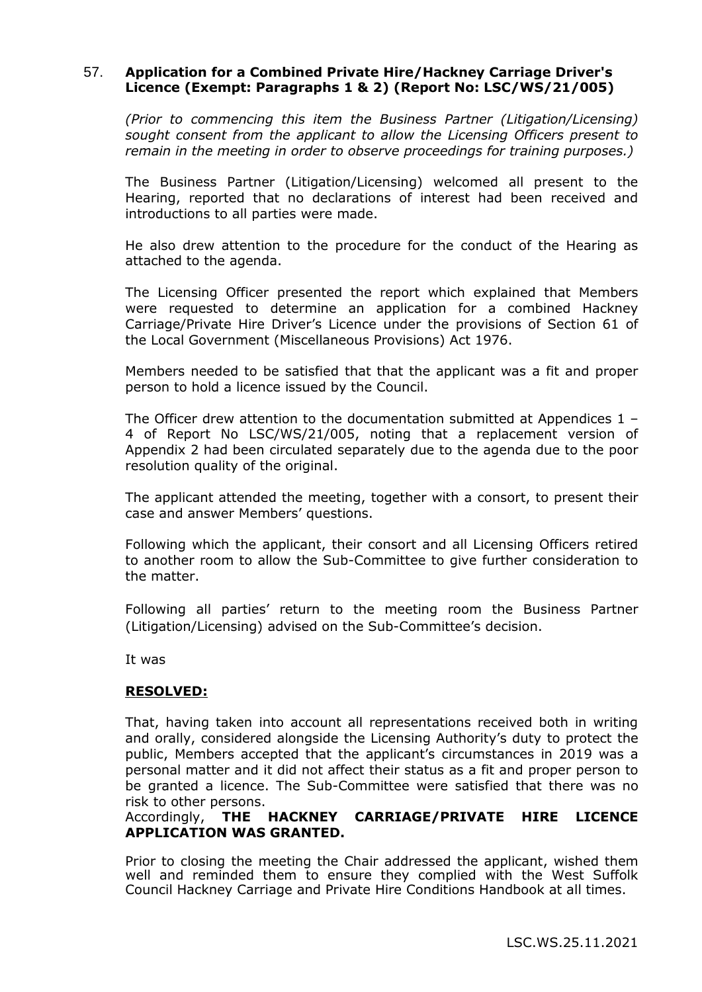# 57. **Application for a Combined Private Hire/Hackney Carriage Driver's Licence (Exempt: Paragraphs 1 & 2) (Report No: LSC/WS/21/005)**

*(Prior to commencing this item the Business Partner (Litigation/Licensing) sought consent from the applicant to allow the Licensing Officers present to remain in the meeting in order to observe proceedings for training purposes.)*

The Business Partner (Litigation/Licensing) welcomed all present to the Hearing, reported that no declarations of interest had been received and introductions to all parties were made.

He also drew attention to the procedure for the conduct of the Hearing as attached to the agenda.

The Licensing Officer presented the report which explained that Members were requested to determine an application for a combined Hackney Carriage/Private Hire Driver's Licence under the provisions of Section 61 of the Local Government (Miscellaneous Provisions) Act 1976.

Members needed to be satisfied that that the applicant was a fit and proper person to hold a licence issued by the Council.

The Officer drew attention to the documentation submitted at Appendices 1 – 4 of Report No LSC/WS/21/005, noting that a replacement version of Appendix 2 had been circulated separately due to the agenda due to the poor resolution quality of the original.

The applicant attended the meeting, together with a consort, to present their case and answer Members' questions.

Following which the applicant, their consort and all Licensing Officers retired to another room to allow the Sub-Committee to give further consideration to the matter.

Following all parties' return to the meeting room the Business Partner (Litigation/Licensing) advised on the Sub-Committee's decision.

It was

#### **RESOLVED:**

That, having taken into account all representations received both in writing and orally, considered alongside the Licensing Authority's duty to protect the public, Members accepted that the applicant's circumstances in 2019 was a personal matter and it did not affect their status as a fit and proper person to be granted a licence. The Sub-Committee were satisfied that there was no risk to other persons.

# Accordingly, **THE HACKNEY CARRIAGE/PRIVATE HIRE LICENCE APPLICATION WAS GRANTED.**

Prior to closing the meeting the Chair addressed the applicant, wished them well and reminded them to ensure they complied with the West Suffolk Council Hackney Carriage and Private Hire Conditions Handbook at all times.